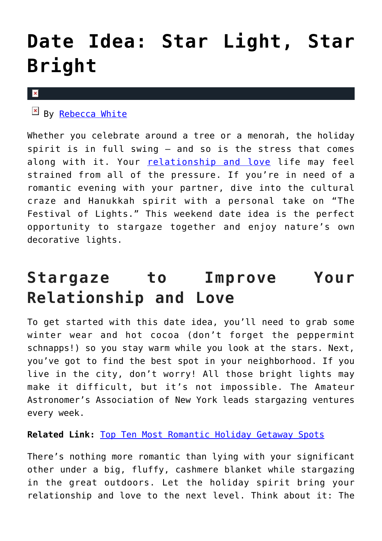## **[Date Idea: Star Light, Star](https://cupidspulse.com/91530/date-idea-hanukkah-stargazing/) [Bright](https://cupidspulse.com/91530/date-idea-hanukkah-stargazing/)**

## $\mathbf x$

 $By$  [Rebecca White](http://cupidspulse.com/104603/rebecca-white/)

Whether you celebrate around a tree or a menorah, the holiday spirit is in full swing — and so is the stress that comes along with it. Your [relationship and love](http://cupidspulse.com/celebrity-relationships/) life may feel strained from all of the pressure. If you're in need of a romantic evening with your partner, dive into the cultural craze and Hanukkah spirit with a personal take on "The Festival of Lights." This weekend date idea is the perfect opportunity to stargaze together and enjoy nature's own decorative lights.

## **Stargaze to Improve Your Relationship and Love**

To get started with this date idea, you'll need to grab some winter wear and hot cocoa (don't forget the peppermint schnapps!) so you stay warm while you look at the stars. Next, you've got to find the best spot in your neighborhood. If you live in the city, don't worry! All those bright lights may make it difficult, but it's not impossible. The Amateur Astronomer's Association of New York leads stargazing ventures every week.

**Related Link:** [Top Ten Most Romantic Holiday Getaway Spots](http://cupidspulse.com/83809/melanie-mar-top-ten-romantic-holiday-getaway-spots/)

There's nothing more romantic than lying with your significant other under a big, fluffy, cashmere blanket while stargazing in the great outdoors. Let the holiday spirit bring your relationship and love to the next level. Think about it: The